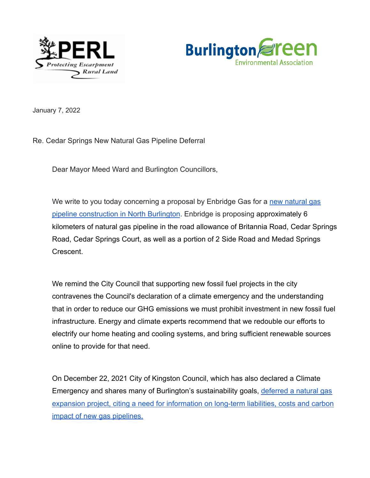



January 7, 2022

Re. Cedar Springs New Natural Gas Pipeline Deferral

Dear Mayor Meed Ward and Burlington Councillors,

We write to you today concerning a proposal by Enbridge Gas for a [new natural gas](https://www.enbridgegas.com/cedarsprings) [pipeline construction in North Burlington](https://www.enbridgegas.com/cedarsprings). Enbridge is proposing approximately 6 kilometers of natural gas pipeline in the road allowance of Britannia Road, Cedar Springs Road, Cedar Springs Court, as well as a portion of 2 Side Road and Medad Springs Crescent.

We remind the City Council that supporting new fossil fuel projects in the city contravenes the Council's declaration of a climate emergency and the understanding that in order to reduce our GHG emissions we must prohibit investment in new fossil fuel infrastructure. Energy and climate experts recommend that we redouble our efforts to electrify our home heating and cooling systems, and bring sufficient renewable sources online to provide for that need.

On December 22, 2021 City of Kingston Council, which has also declared a Climate Emergency and shares many of Burlington's sustainability goals, [deferred a natural gas](https://www.thewhig.com/news/local-news/kingston-council-defers-natural-gas-expansion-project) [expansion project, citing a need for information on long-term liabilities, costs and carbon](https://www.thewhig.com/news/local-news/kingston-council-defers-natural-gas-expansion-project) [impact of new gas pipelines.](https://www.thewhig.com/news/local-news/kingston-council-defers-natural-gas-expansion-project)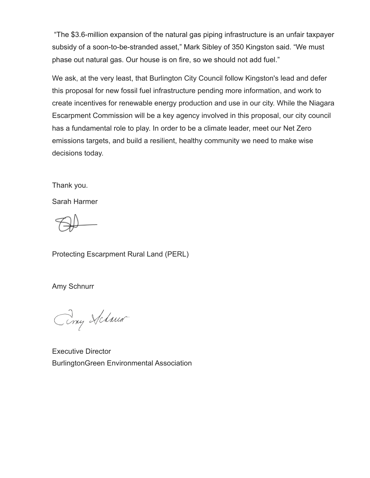"The \$3.6-million expansion of the natural gas piping infrastructure is an unfair taxpayer subsidy of a soon-to-be-stranded asset," Mark Sibley of 350 Kingston said. "We must phase out natural gas. Our house is on fire, so we should not add fuel."

We ask, at the very least, that Burlington City Council follow Kingston's lead and defer this proposal for new fossil fuel infrastructure pending more information, and work to create incentives for renewable energy production and use in our city. While the Niagara Escarpment Commission will be a key agency involved in this proposal, our city council has a fundamental role to play. In order to be a climate leader, meet our Net Zero emissions targets, and build a resilient, healthy community we need to make wise decisions today.

Thank you.

Sarah Harmer

Protecting Escarpment Rural Land (PERL)

Amy Schnurr

Ciny Schwar

Executive Director BurlingtonGreen Environmental Association